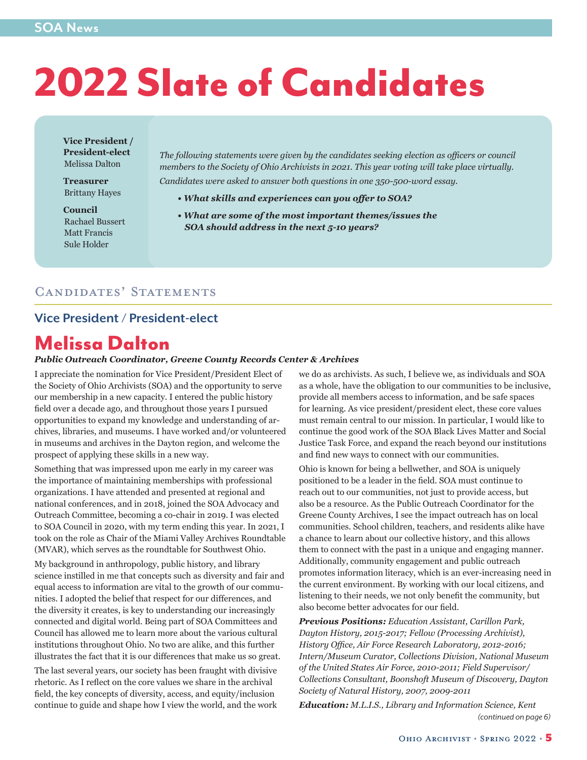# 2022 Slate of Candidates

**Vice President / President-elect** Melissa Dalton

**Treasurer** Brittany Hayes

**Council** Rachael Bussert Matt Francis Sule Holder

*The following statements were given by the candidates seeking election as officers or council members to the Society of Ohio Archivists in 2021. This year voting will take place virtually.*

*Candidates were asked to answer both questions in one 350-500-word essay.*

- *• What skills and experiences can you offer to SOA?*
- *What are some of the most important themes/issues the SOA should address in the next 5-10 years?*

#### Candidates' Statements

#### **Vice President / President-elect**

# Melissa Dalton

#### *Public Outreach Coordinator, Greene County Records Center & Archives*

I appreciate the nomination for Vice President/President Elect of the Society of Ohio Archivists (SOA) and the opportunity to serve our membership in a new capacity. I entered the public history field over a decade ago, and throughout those years I pursued opportunities to expand my knowledge and understanding of archives, libraries, and museums. I have worked and/or volunteered in museums and archives in the Dayton region, and welcome the prospect of applying these skills in a new way.

Something that was impressed upon me early in my career was the importance of maintaining memberships with professional organizations. I have attended and presented at regional and national conferences, and in 2018, joined the SOA Advocacy and Outreach Committee, becoming a co-chair in 2019. I was elected to SOA Council in 2020, with my term ending this year. In 2021, I took on the role as Chair of the Miami Valley Archives Roundtable (MVAR), which serves as the roundtable for Southwest Ohio.

My background in anthropology, public history, and library science instilled in me that concepts such as diversity and fair and equal access to information are vital to the growth of our communities. I adopted the belief that respect for our differences, and the diversity it creates, is key to understanding our increasingly connected and digital world. Being part of SOA Committees and Council has allowed me to learn more about the various cultural institutions throughout Ohio. No two are alike, and this further illustrates the fact that it is our differences that make us so great.

The last several years, our society has been fraught with divisive rhetoric. As I reflect on the core values we share in the archival field, the key concepts of diversity, access, and equity/inclusion continue to guide and shape how I view the world, and the work

we do as archivists. As such, I believe we, as individuals and SOA as a whole, have the obligation to our communities to be inclusive, provide all members access to information, and be safe spaces for learning. As vice president/president elect, these core values must remain central to our mission. In particular, I would like to continue the good work of the SOA Black Lives Matter and Social Justice Task Force, and expand the reach beyond our institutions and find new ways to connect with our communities.

Ohio is known for being a bellwether, and SOA is uniquely positioned to be a leader in the field. SOA must continue to reach out to our communities, not just to provide access, but also be a resource. As the Public Outreach Coordinator for the Greene County Archives, I see the impact outreach has on local communities. School children, teachers, and residents alike have a chance to learn about our collective history, and this allows them to connect with the past in a unique and engaging manner. Additionally, community engagement and public outreach promotes information literacy, which is an ever-increasing need in the current environment. By working with our local citizens, and listening to their needs, we not only benefit the community, but also become better advocates for our field.

*Previous Positions: Education Assistant, Carillon Park, Dayton History, 2015-2017; Fellow (Processing Archivist), History Office, Air Force Research Laboratory, 2012-2016; Intern/Museum Curator, Collections Division, National Museum of the United States Air Force, 2010-2011; Field Supervisor/ Collections Consultant, Boonshoft Museum of Discovery, Dayton Society of Natural History, 2007, 2009-2011*

*(continued on page 6) Education: M.L.I.S., Library and Information Science, Kent*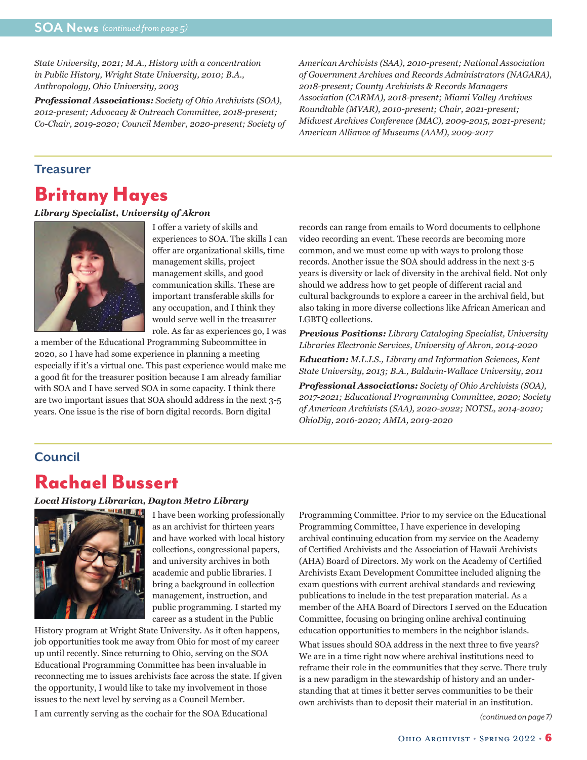*State University, 2021; M.A., History with a concentration in Public History, Wright State University, 2010; B.A., Anthropology, Ohio University, 2003*

*Professional Associations: Society of Ohio Archivists (SOA), 2012-present; Advocacy & Outreach Committee, 2018-present; Co-Chair, 2019-2020; Council Member, 2020-present; Society of*  *American Archivists (SAA), 2010-present; National Association of Government Archives and Records Administrators (NAGARA), 2018-present; County Archivists & Records Managers Association (CARMA), 2018-present; Miami Valley Archives Roundtable (MVAR), 2010-present; Chair, 2021-present; Midwest Archives Conference (MAC), 2009-2015, 2021-present; American Alliance of Museums (AAM), 2009-2017*

#### **Treasurer**

## Brittany Hayes

#### *Library Specialist, University of Akron*



I offer a variety of skills and experiences to SOA. The skills I can offer are organizational skills, time management skills, project management skills, and good communication skills. These are important transferable skills for any occupation, and I think they would serve well in the treasurer role. As far as experiences go, I was

a member of the Educational Programming Subcommittee in 2020, so I have had some experience in planning a meeting especially if it's a virtual one. This past experience would make me a good fit for the treasurer position because I am already familiar with SOA and I have served SOA in some capacity. I think there are two important issues that SOA should address in the next 3-5 years. One issue is the rise of born digital records. Born digital

records can range from emails to Word documents to cellphone video recording an event. These records are becoming more common, and we must come up with ways to prolong those records. Another issue the SOA should address in the next 3-5 years is diversity or lack of diversity in the archival field. Not only should we address how to get people of different racial and cultural backgrounds to explore a career in the archival field, but also taking in more diverse collections like African American and LGBTQ collections.

*Previous Positions: Library Cataloging Specialist, University Libraries Electronic Services, University of Akron, 2014-2020*

*Education: M.L.I.S., Library and Information Sciences, Kent State University, 2013; B.A., Baldwin-Wallace University, 2011*

*Professional Associations: Society of Ohio Archivists (SOA), 2017-2021; Educational Programming Committee, 2020; Society of American Archivists (SAA), 2020-2022; NOTSL, 2014-2020; OhioDig, 2016-2020; AMIA, 2019-2020*

#### **Council**

### Rachael Bussert

#### *Local History Librarian, Dayton Metro Library*



I have been working professionally as an archivist for thirteen years and have worked with local history collections, congressional papers, and university archives in both academic and public libraries. I bring a background in collection management, instruction, and public programming. I started my career as a student in the Public

History program at Wright State University. As it often happens, job opportunities took me away from Ohio for most of my career up until recently. Since returning to Ohio, serving on the SOA Educational Programming Committee has been invaluable in reconnecting me to issues archivists face across the state. If given the opportunity, I would like to take my involvement in those issues to the next level by serving as a Council Member.

I am currently serving as the cochair for the SOA Educational

Programming Committee. Prior to my service on the Educational Programming Committee, I have experience in developing archival continuing education from my service on the Academy of Certified Archivists and the Association of Hawaii Archivists (AHA) Board of Directors. My work on the Academy of Certified Archivists Exam Development Committee included aligning the exam questions with current archival standards and reviewing publications to include in the test preparation material. As a member of the AHA Board of Directors I served on the Education Committee, focusing on bringing online archival continuing education opportunities to members in the neighbor islands.

What issues should SOA address in the next three to five years? We are in a time right now where archival institutions need to reframe their role in the communities that they serve. There truly is a new paradigm in the stewardship of history and an understanding that at times it better serves communities to be their own archivists than to deposit their material in an institution.

*(continued on page 7)*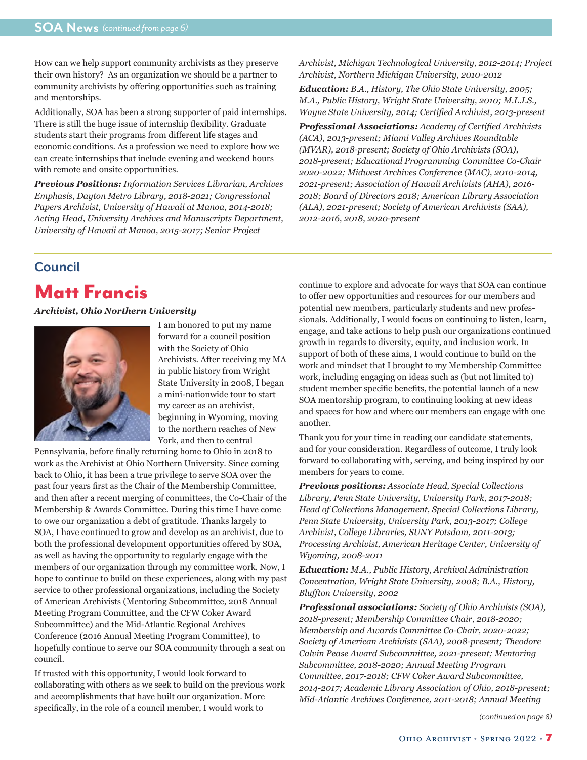How can we help support community archivists as they preserve their own history? As an organization we should be a partner to community archivists by offering opportunities such as training and mentorships.

Additionally, SOA has been a strong supporter of paid internships. There is still the huge issue of internship flexibility. Graduate students start their programs from different life stages and economic conditions. As a profession we need to explore how we can create internships that include evening and weekend hours with remote and onsite opportunities.

*Previous Positions: Information Services Librarian, Archives Emphasis, Dayton Metro Library, 2018-2021; Congressional Papers Archivist, University of Hawaii at Manoa, 2014-2018; Acting Head, University Archives and Manuscripts Department, University of Hawaii at Manoa, 2015-2017; Senior Project* 

*Archivist, Michigan Technological University, 2012-2014; Project Archivist, Northern Michigan University, 2010-2012*

*Education: B.A., History, The Ohio State University, 2005; M.A., Public History, Wright State University, 2010; M.L.I.S., Wayne State University, 2014; Certified Archivist, 2013-present*

*Professional Associations: Academy of Certified Archivists (ACA), 2013-present; Miami Valley Archives Roundtable (MVAR), 2018-present; Society of Ohio Archivists (SOA), 2018-present; Educational Programming Committee Co-Chair 2020-2022; Midwest Archives Conference (MAC), 2010-2014, 2021-present; Association of Hawaii Archivists (AHA), 2016- 2018; Board of Directors 2018; American Library Association (ALA), 2021-present; Society of American Archivists (SAA), 2012-2016, 2018, 2020-present* 

# **Council**

# Matt Francis

*Archivist, Ohio Northern University*



I am honored to put my name forward for a council position with the Society of Ohio Archivists. After receiving my MA in public history from Wright State University in 2008, I began a mini-nationwide tour to start my career as an archivist, beginning in Wyoming, moving to the northern reaches of New York, and then to central

Pennsylvania, before finally returning home to Ohio in 2018 to work as the Archivist at Ohio Northern University. Since coming back to Ohio, it has been a true privilege to serve SOA over the past four years first as the Chair of the Membership Committee, and then after a recent merging of committees, the Co-Chair of the Membership & Awards Committee. During this time I have come to owe our organization a debt of gratitude. Thanks largely to SOA, I have continued to grow and develop as an archivist, due to both the professional development opportunities offered by SOA, as well as having the opportunity to regularly engage with the members of our organization through my committee work. Now, I hope to continue to build on these experiences, along with my past service to other professional organizations, including the Society of American Archivists (Mentoring Subcommittee, 2018 Annual Meeting Program Committee, and the CFW Coker Award Subcommittee) and the Mid-Atlantic Regional Archives Conference (2016 Annual Meeting Program Committee), to hopefully continue to serve our SOA community through a seat on council.

If trusted with this opportunity, I would look forward to collaborating with others as we seek to build on the previous work and accomplishments that have built our organization. More specifically, in the role of a council member, I would work to

continue to explore and advocate for ways that SOA can continue to offer new opportunities and resources for our members and potential new members, particularly students and new professionals. Additionally, I would focus on continuing to listen, learn, engage, and take actions to help push our organizations continued growth in regards to diversity, equity, and inclusion work. In support of both of these aims, I would continue to build on the work and mindset that I brought to my Membership Committee work, including engaging on ideas such as (but not limited to) student member specific benefits, the potential launch of a new SOA mentorship program, to continuing looking at new ideas and spaces for how and where our members can engage with one another.

Thank you for your time in reading our candidate statements, and for your consideration. Regardless of outcome, I truly look forward to collaborating with, serving, and being inspired by our members for years to come.

*Previous positions: Associate Head, Special Collections Library, Penn State University, University Park, 2017-2018; Head of Collections Management, Special Collections Library, Penn State University, University Park, 2013-2017; College Archivist, College Libraries, SUNY Potsdam, 2011-2013; Processing Archivist, American Heritage Center, University of Wyoming, 2008-2011* 

*Education: M.A., Public History, Archival Administration Concentration, Wright State University, 2008; B.A., History, Bluffton University, 2002*

*Professional associations: Society of Ohio Archivists (SOA), 2018-present; Membership Committee Chair, 2018-2020; Membership and Awards Committee Co-Chair, 2020-2022; Society of American Archivists (SAA), 2008-present; Theodore Calvin Pease Award Subcommittee, 2021-present; Mentoring Subcommittee, 2018-2020; Annual Meeting Program Committee, 2017-2018; CFW Coker Award Subcommittee, 2014-2017; Academic Library Association of Ohio, 2018-present; Mid-Atlantic Archives Conference, 2011-2018; Annual Meeting* 

*(continued on page 8)*